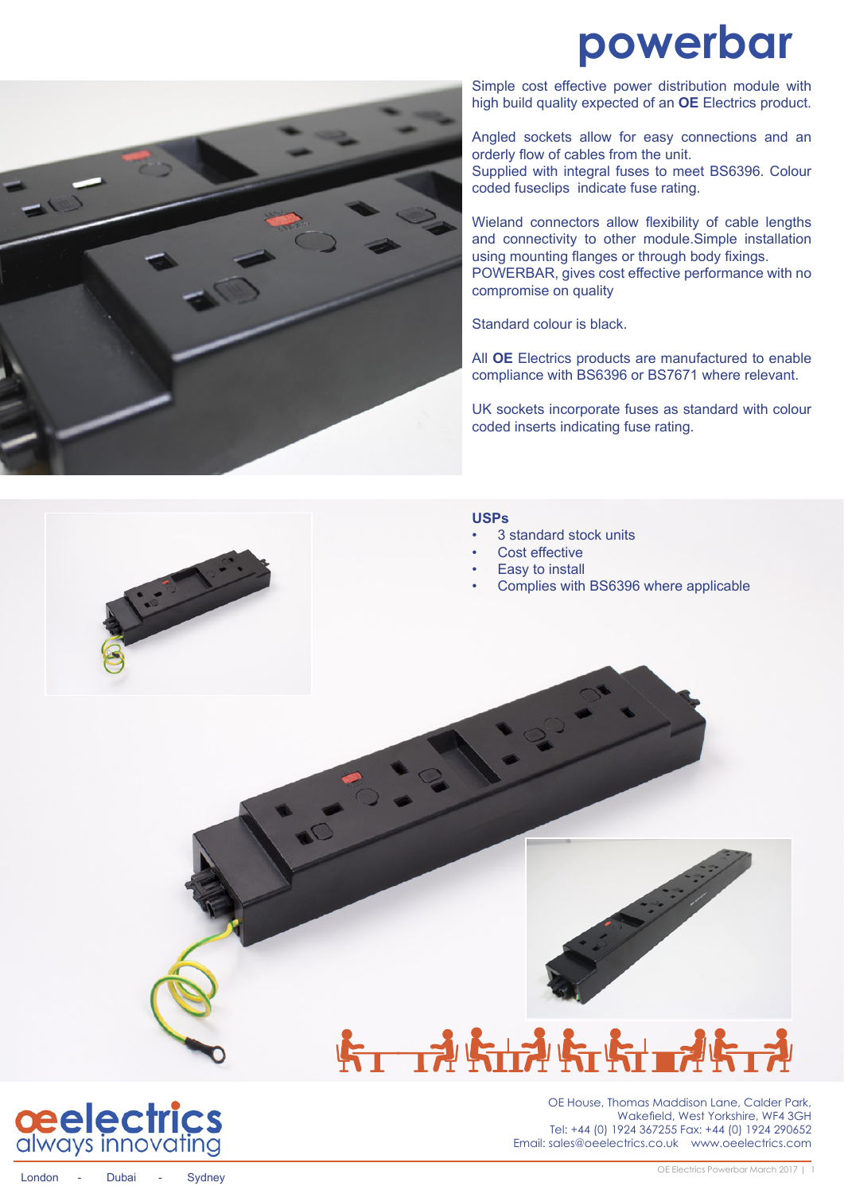## **powerbar**



Simple cost effective power distribution module with high build quality expected of an **OE** Electrics product.

Angled sockets allow for easy connections and an orderly flow of cables from the unit.

Supplied with integral fuses to meet BS6396. Colour coded fuseclips indicate fuse rating.

Wieland connectors allow flexibility of cable lengths and connectivity to other module.Simple installation using mounting flanges or through body fixings. POWERBAR, gives cost effective performance with no compromise on quality

Standard colour is black.

All **OE** Electrics products are manufactured to enable compliance with BS6396 or BS7671 where relevant.

UK sockets incorporate fuses as standard with colour coded inserts indicating fuse rating.

### **USPs**

- 3 standard stock units
- Cost effective
- **Easy to install**
- Complies with BS6396 where applicable





# **トロ科ト市社会日本**



OE House, Thomas Maddison Lane, Calder Park, Wakefield, West Yorkshire, WF4 3GH Tel: +44 (0) 1924 367255 Fax: +44 (0) 1924 290652 Email: sales@oeelectrics.co.uk www.oeelectrics.com